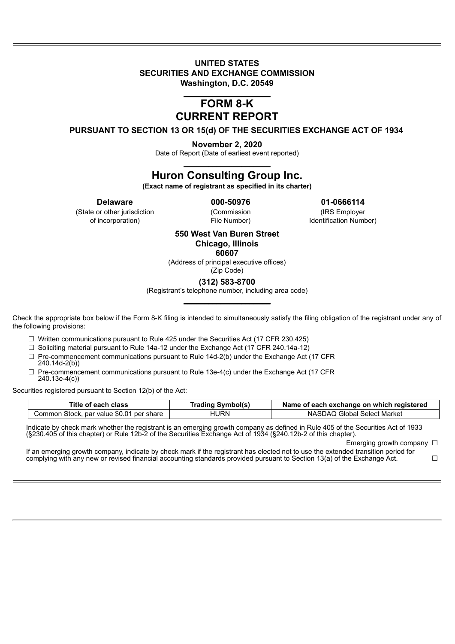## **UNITED STATES SECURITIES AND EXCHANGE COMMISSION Washington, D.C. 20549**

## \_\_\_\_\_\_\_\_\_\_\_\_\_\_\_\_\_\_\_\_\_ **FORM 8-K CURRENT REPORT**

**PURSUANT TO SECTION 13 OR 15(d) OF THE SECURITIES EXCHANGE ACT OF 1934**

**November 2, 2020**

Date of Report (Date of earliest event reported) \_\_\_\_\_\_\_\_\_\_\_\_\_\_\_\_\_\_\_\_\_

## **Huron Consulting Group Inc.**

**(Exact name of registrant as specified in its charter)**

**Delaware 000-50976 01-0666114**

(State or other jurisdiction  $({\text{Commission}}$  ) (Commission  $({\text{IRS}}$  Employer of incorporation) File Number) Identification Number)

> **550 West Van Buren Street Chicago, Illinois**

> > **60607**

(Address of principal executive offices)

(Zip Code) **(312) 583-8700**

(Registrant's telephone number, including area code) \_\_\_\_\_\_\_\_\_\_\_\_\_\_\_\_\_\_\_\_\_

Check the appropriate box below if the Form 8-K filing is intended to simultaneously satisfy the filing obligation of the registrant under any of the following provisions:

 $\Box$  Written communications pursuant to Rule 425 under the Securities Act (17 CFR 230.425)

 $\Box$  Soliciting material pursuant to Rule 14a-12 under the Exchange Act (17 CFR 240.14a-12)

- $\Box$  Pre-commencement communications pursuant to Rule 14d-2(b) under the Exchange Act (17 CFR 240.14d-2(b))
- $\Box$  Pre-commencement communications pursuant to Rule 13e-4(c) under the Exchange Act (17 CFR 240.13e-4(c))

Securities registered pursuant to Section 12(b) of the Act:

| Title of each class                      | <b>Trading Symbol(s)</b> | Name of each exchange on which registered |  |  |  |  |  |
|------------------------------------------|--------------------------|-------------------------------------------|--|--|--|--|--|
| Common Stock, par value \$0.01 per share | HURN                     | NASDAQ Global Select Market               |  |  |  |  |  |

Indicate by check mark whether the registrant is an emerging growth company as defined in Rule 405 of the Securities Act of 1933 (§230.405 of this chapter) or Rule 12b-2 of the Securities Exchange Act of 1934 (§240.12b-2 of this chapter).

Emerging growth company □

If an emerging growth company, indicate by check mark if the registrant has elected not to use the extended transition period for complying with any new or revised financial accounting standards provided pursuant to Section 13(a) of the Exchange Act.  $□$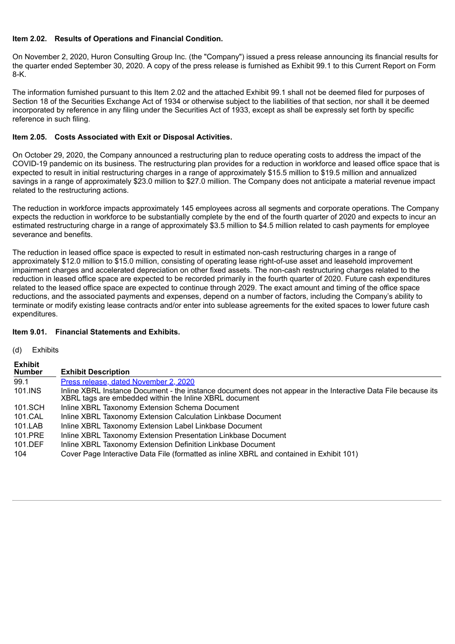## **Item 2.02. Results of Operations and Financial Condition.**

On November 2, 2020, Huron Consulting Group Inc. (the "Company") issued a press release announcing its financial results for the quarter ended September 30, 2020. A copy of the press release is furnished as Exhibit 99.1 to this Current Report on Form 8-K.

The information furnished pursuant to this Item 2.02 and the attached Exhibit 99.1 shall not be deemed filed for purposes of Section 18 of the Securities Exchange Act of 1934 or otherwise subject to the liabilities of that section, nor shall it be deemed incorporated by reference in any filing under the Securities Act of 1933, except as shall be expressly set forth by specific reference in such filing.

## **Item 2.05. Costs Associated with Exit or Disposal Activities.**

On October 29, 2020, the Company announced a restructuring plan to reduce operating costs to address the impact of the COVID-19 pandemic on its business. The restructuring plan provides for a reduction in workforce and leased office space that is expected to result in initial restructuring charges in a range of approximately \$15.5 million to \$19.5 million and annualized savings in a range of approximately \$23.0 million to \$27.0 million. The Company does not anticipate a material revenue impact related to the restructuring actions.

The reduction in workforce impacts approximately 145 employees across all segments and corporate operations. The Company expects the reduction in workforce to be substantially complete by the end of the fourth quarter of 2020 and expects to incur an estimated restructuring charge in a range of approximately \$3.5 million to \$4.5 million related to cash payments for employee severance and benefits.

The reduction in leased office space is expected to result in estimated non-cash restructuring charges in a range of approximately \$12.0 million to \$15.0 million, consisting of operating lease right-of-use asset and leasehold improvement impairment charges and accelerated depreciation on other fixed assets. The non-cash restructuring charges related to the reduction in leased office space are expected to be recorded primarily in the fourth quarter of 2020. Future cash expenditures related to the leased office space are expected to continue through 2029. The exact amount and timing of the office space reductions, and the associated payments and expenses, depend on a number of factors, including the Company's ability to terminate or modify existing lease contracts and/or enter into sublease agreements for the exited spaces to lower future cash expenditures.

## **Item 9.01. Financial Statements and Exhibits.**

### (d) Exhibits

| <b>Exhibit</b><br><b>Number</b> | <b>Exhibit Description</b>                                                                                                                                               |
|---------------------------------|--------------------------------------------------------------------------------------------------------------------------------------------------------------------------|
| 99.1                            | Press release, dated November 2, 2020                                                                                                                                    |
| 101.INS                         | Inline XBRL Instance Document - the instance document does not appear in the Interactive Data File because its<br>XBRL tags are embedded within the Inline XBRL document |
| 101.SCH                         | Inline XBRL Taxonomy Extension Schema Document                                                                                                                           |
| 101.CAL                         | Inline XBRL Taxonomy Extension Calculation Linkbase Document                                                                                                             |
| 101.LAB                         | Inline XBRL Taxonomy Extension Label Linkbase Document                                                                                                                   |
| 101.PRE                         | Inline XBRL Taxonomy Extension Presentation Linkbase Document                                                                                                            |
| 101.DEF                         | Inline XBRL Taxonomy Extension Definition Linkbase Document                                                                                                              |
| 104                             | Cover Page Interactive Data File (formatted as inline XBRL and contained in Exhibit 101)                                                                                 |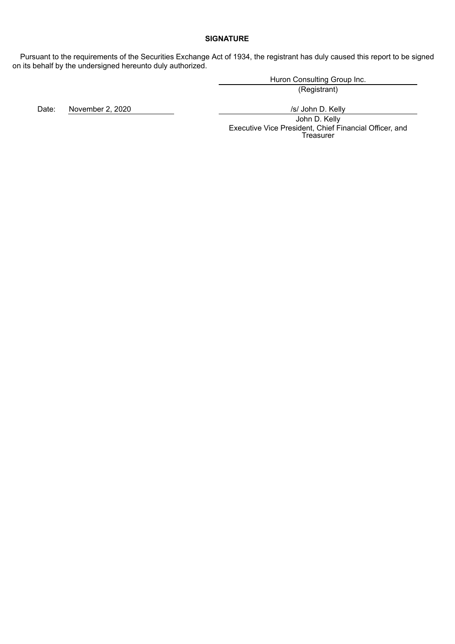## **SIGNATURE**

Pursuant to the requirements of the Securities Exchange Act of 1934, the registrant has duly caused this report to be signed on its behalf by the undersigned hereunto duly authorized.

Huron Consulting Group Inc.

(Registrant)

Date: November 2, 2020 /s/ John D. Kelly

John D. Kelly Executive Vice President, Chief Financial Officer, and **Treasurer**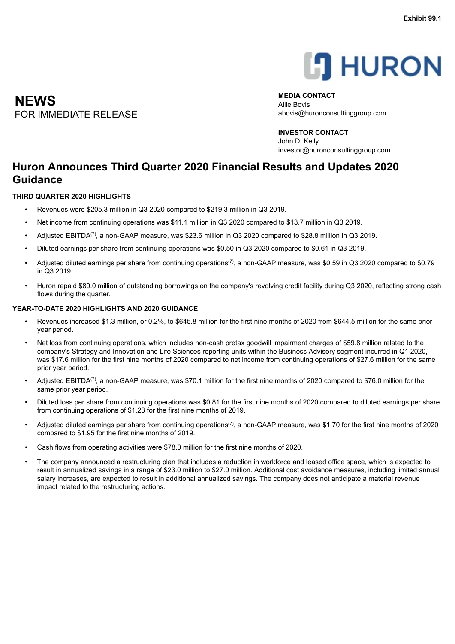

# **MEDIA CONTACT** Allie Bovis

#### **INVESTOR CONTACT**

John D. Kelly investor@huronconsultinggroup.com

# **Huron Announces Third Quarter 2020 Financial Results and Updates 2020 Guidance**

## **THIRD QUARTER 2020 HIGHLIGHTS**

- Revenues were \$205.3 million in Q3 2020 compared to \$219.3 million in Q3 2019.
- Net income from continuing operations was \$11.1 million in Q3 2020 compared to \$13.7 million in Q3 2019.
- Adjusted EBITDA<sup>(7)</sup>, a non-GAAP measure, was \$23.6 million in Q3 2020 compared to \$28.8 million in Q3 2019.
- Diluted earnings per share from continuing operations was \$0.50 in Q3 2020 compared to \$0.61 in Q3 2019.
- Adjusted diluted earnings per share from continuing operations<sup>(7)</sup>, a non-GAAP measure, was \$0.59 in Q3 2020 compared to \$0.79 in Q3 2019.
- Huron repaid \$80.0 million of outstanding borrowings on the company's revolving credit facility during Q3 2020, reflecting strong cash flows during the quarter.

#### **YEAR-TO-DATE 2020 HIGHLIGHTS AND 2020 GUIDANCE**

- Revenues increased \$1.3 million, or 0.2%, to \$645.8 million for the first nine months of 2020 from \$644.5 million for the same prior year period.
- Net loss from continuing operations, which includes non-cash pretax goodwill impairment charges of \$59.8 million related to the company's Strategy and Innovation and Life Sciences reporting units within the Business Advisory segment incurred in Q1 2020, was \$17.6 million for the first nine months of 2020 compared to net income from continuing operations of \$27.6 million for the same prior year period.
- Adjusted EBITDA<sup>(7)</sup>, a non-GAAP measure, was \$70.1 million for the first nine months of 2020 compared to \$76.0 million for the same prior year period.
- Diluted loss per share from continuing operations was \$0.81 for the first nine months of 2020 compared to diluted earnings per share from continuing operations of \$1.23 for the first nine months of 2019.
- Adjusted diluted earnings per share from continuing operations<sup>(7)</sup>, a non-GAAP measure, was \$1.70 for the first nine months of 2020 compared to \$1.95 for the first nine months of 2019.
- Cash flows from operating activities were \$78.0 million for the first nine months of 2020.
- The company announced a restructuring plan that includes a reduction in workforce and leased office space, which is expected to result in annualized savings in a range of \$23.0 million to \$27.0 million. Additional cost avoidance measures, including limited annual salary increases, are expected to result in additional annualized savings. The company does not anticipate a material revenue impact related to the restructuring actions.

<span id="page-3-0"></span>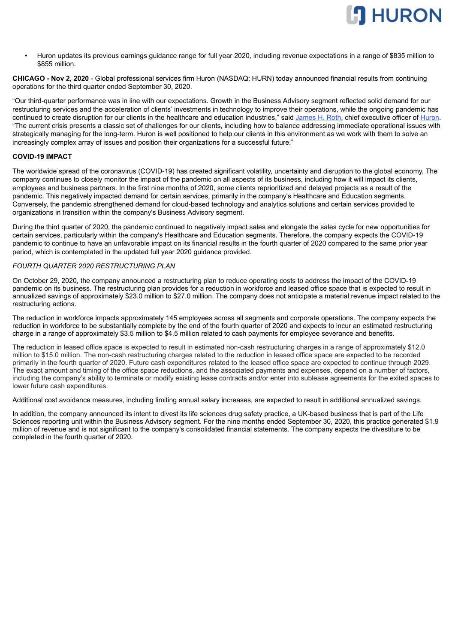

• Huron updates its previous earnings guidance range for full year 2020, including revenue expectations in a range of \$835 million to \$855 million.

**CHICAGO - Nov 2, 2020** - Global professional services firm Huron (NASDAQ: HURN) today announced financial results from continuing operations for the third quarter ended September 30, 2020.

"Our third-quarter performance was in line with our expectations. Growth in the Business Advisory segment reflected solid demand for our restructuring services and the acceleration of clients' investments in technology to improve their operations, while the ongoing pandemic has continued to create disruption for our clients in the healthcare and education industries," said James H. Roth, chief executive officer of Huron. "The current crisis presents a classic set of challenges for our clients, including how to balance addressing immediate operational issues with strategically managing for the long-term. Huron is well positioned to help our clients in this environment as we work with them to solve an increasingly complex array of issues and position their organizations for a successful future."

#### **COVID-19 IMPACT**

The worldwide spread of the coronavirus (COVID-19) has created significant volatility, uncertainty and disruption to the global economy. The company continues to closely monitor the impact of the pandemic on all aspects of its business, including how it will impact its clients, employees and business partners. In the first nine months of 2020, some clients reprioritized and delayed projects as a result of the pandemic. This negatively impacted demand for certain services, primarily in the company's Healthcare and Education segments. Conversely, the pandemic strengthened demand for cloud-based technology and analytics solutions and certain services provided to organizations in transition within the company's Business Advisory segment.

During the third quarter of 2020, the pandemic continued to negatively impact sales and elongate the sales cycle for new opportunities for certain services, particularly within the company's Healthcare and Education segments. Therefore, the company expects the COVID-19 pandemic to continue to have an unfavorable impact on its financial results in the fourth quarter of 2020 compared to the same prior year period, which is contemplated in the updated full year 2020 guidance provided.

#### *FOURTH QUARTER 2020 RESTRUCTURING PLAN*

On October 29, 2020, the company announced a restructuring plan to reduce operating costs to address the impact of the COVID-19 pandemic on its business. The restructuring plan provides for a reduction in workforce and leased office space that is expected to result in annualized savings of approximately \$23.0 million to \$27.0 million. The company does not anticipate a material revenue impact related to the restructuring actions.

The reduction in workforce impacts approximately 145 employees across all segments and corporate operations. The company expects the reduction in workforce to be substantially complete by the end of the fourth quarter of 2020 and expects to incur an estimated restructuring charge in a range of approximately \$3.5 million to \$4.5 million related to cash payments for employee severance and benefits.

The reduction in leased office space is expected to result in estimated non-cash restructuring charges in a range of approximately \$12.0 million to \$15.0 million. The non-cash restructuring charges related to the reduction in leased office space are expected to be recorded primarily in the fourth quarter of 2020. Future cash expenditures related to the leased office space are expected to continue through 2029. The exact amount and timing of the office space reductions, and the associated payments and expenses, depend on a number of factors, including the company's ability to terminate or modify existing lease contracts and/or enter into sublease agreements for the exited spaces to lower future cash expenditures.

Additional cost avoidance measures, including limiting annual salary increases, are expected to result in additional annualized savings.

In addition, the company announced its intent to divest its life sciences drug safety practice, a UK-based business that is part of the Life Sciences reporting unit within the Business Advisory segment. For the nine months ended September 30, 2020, this practice generated \$1.9 million of revenue and is not significant to the company's consolidated financial statements. The company expects the divestiture to be completed in the fourth quarter of 2020.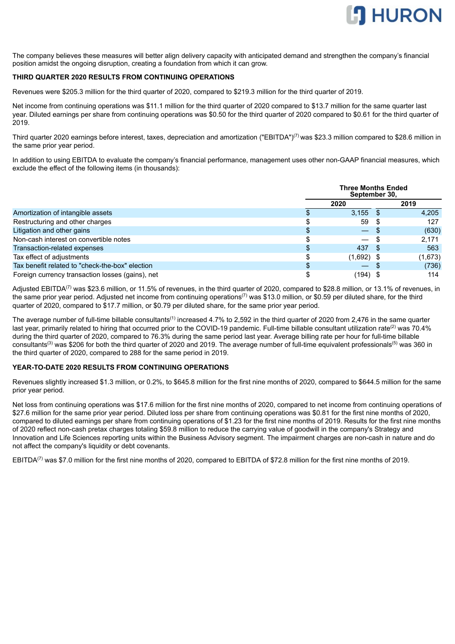

The company believes these measures will better align delivery capacity with anticipated demand and strengthen the company's financial position amidst the ongoing disruption, creating a foundation from which it can grow.

#### **THIRD QUARTER 2020 RESULTS FROM CONTINUING OPERATIONS**

Revenues were \$205.3 million for the third quarter of 2020, compared to \$219.3 million for the third quarter of 2019.

Net income from continuing operations was \$11.1 million for the third quarter of 2020 compared to \$13.7 million for the same quarter last year. Diluted earnings per share from continuing operations was \$0.50 for the third quarter of 2020 compared to \$0.61 for the third quarter of 2019.

Third quarter 2020 earnings before interest, taxes, depreciation and amortization ("EBITDA")<sup>(7)</sup> was \$23.3 million compared to \$28.6 million in the same prior year period.

In addition to using EBITDA to evaluate the company's financial performance, management uses other non-GAAP financial measures, which exclude the effect of the following items (in thousands):

|                                                  | <b>Three Months Ended</b><br>September 30, |      |         |  |  |
|--------------------------------------------------|--------------------------------------------|------|---------|--|--|
|                                                  | 2020                                       |      | 2019    |  |  |
| Amortization of intangible assets                | 3,155                                      | - \$ | 4,205   |  |  |
| Restructuring and other charges                  | 59                                         | - 35 | 127     |  |  |
| Litigation and other gains                       | $\overline{\phantom{a}}$                   |      | (630)   |  |  |
| Non-cash interest on convertible notes           | $\overline{\phantom{0}}$                   |      | 2,171   |  |  |
| Transaction-related expenses                     | 437                                        | - S  | 563     |  |  |
| Tax effect of adjustments                        | $(1,692)$ \$                               |      | (1,673) |  |  |
| Tax benefit related to "check-the-box" election  | $\overline{\phantom{0}}$                   |      | (736)   |  |  |
| Foreign currency transaction losses (gains), net | (194)                                      |      | 114     |  |  |

Adjusted EBITDA<sup>(7)</sup> was \$23.6 million, or 11.5% of revenues, in the third quarter of 2020, compared to \$28.8 million, or 13.1% of revenues, in the same prior year period. Adjusted net income from continuing operations<sup>(7)</sup> was \$13.0 million, or \$0.59 per diluted share, for the third quarter of 2020, compared to \$17.7 million, or \$0.79 per diluted share, for the same prior year period.

The average number of full-time billable consultants<sup>(1)</sup> increased 4.7% to 2,592 in the third quarter of 2020 from 2,476 in the same quarter last year, primarily related to hiring that occurred prior to the COVID-19 pandemic. Full-time billable consultant utilization rate<sup>(2)</sup> was 70.4% during the third quarter of 2020, compared to 76.3% during the same period last year. Average billing rate per hour for full-time billable consultants<sup>(3)</sup> was \$206 for both the third quarter of 2020 and 2019. The average number of full-time equivalent professionals<sup>(5)</sup> was 360 in the third quarter of 2020, compared to 288 for the same period in 2019.

#### **YEAR-TO-DATE 2020 RESULTS FROM CONTINUING OPERATIONS**

Revenues slightly increased \$1.3 million, or 0.2%, to \$645.8 million for the first nine months of 2020, compared to \$644.5 million for the same prior year period.

Net loss from continuing operations was \$17.6 million for the first nine months of 2020, compared to net income from continuing operations of \$27.6 million for the same prior year period. Diluted loss per share from continuing operations was \$0.81 for the first nine months of 2020, compared to diluted earnings per share from continuing operations of \$1.23 for the first nine months of 2019. Results for the first nine months of 2020 reflect non-cash pretax charges totaling \$59.8 million to reduce the carrying value of goodwill in the company's Strategy and Innovation and Life Sciences reporting units within the Business Advisory segment. The impairment charges are non-cash in nature and do not affect the company's liquidity or debt covenants.

EBITDA<sup>(7)</sup> was \$7.0 million for the first nine months of 2020, compared to EBITDA of \$72.8 million for the first nine months of 2019.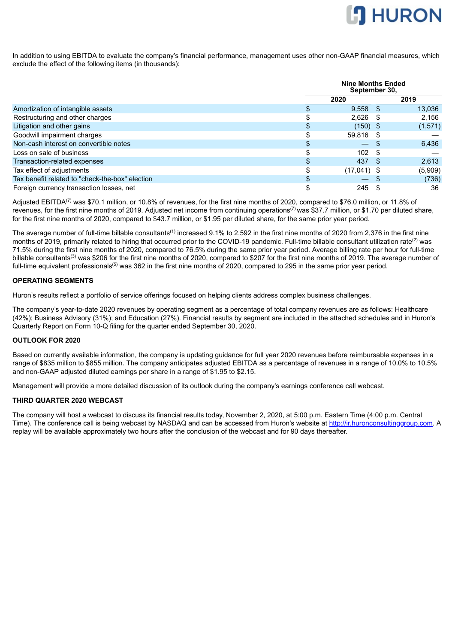

In addition to using EBITDA to evaluate the company's financial performance, management uses other non-GAAP financial measures, which exclude the effect of the following items (in thousands):

|                                                 |    | <b>Nine Months Ended</b><br>September 30, |      |         |  |  |  |
|-------------------------------------------------|----|-------------------------------------------|------|---------|--|--|--|
|                                                 |    | 2020                                      |      | 2019    |  |  |  |
| Amortization of intangible assets               |    | 9.558                                     | - \$ | 13,036  |  |  |  |
| Restructuring and other charges                 |    | 2,626                                     | - \$ | 2,156   |  |  |  |
| Litigation and other gains                      |    | $(150)$ \$                                |      | (1,571) |  |  |  |
| Goodwill impairment charges                     |    | 59,816 \$                                 |      |         |  |  |  |
| Non-cash interest on convertible notes          | \$ | $\overline{\phantom{m}}$                  | - S  | 6,436   |  |  |  |
| Loss on sale of business                        |    | 102                                       | - \$ |         |  |  |  |
| Transaction-related expenses                    |    | 437                                       |      | 2,613   |  |  |  |
| Tax effect of adjustments                       |    | $(17,041)$ \$                             |      | (5,909) |  |  |  |
| Tax benefit related to "check-the-box" election | S  | $\overline{\phantom{0}}$                  |      | (736)   |  |  |  |
| Foreign currency transaction losses, net        |    | 245                                       |      | 36      |  |  |  |

Adjusted EBITDA<sup>(7)</sup> was \$70.1 million, or 10.8% of revenues, for the first nine months of 2020, compared to \$76.0 million, or 11.8% of revenues, for the first nine months of 2019. Adjusted net income from continuing operations<sup>(7)</sup> was \$37.7 million, or \$1.70 per diluted share, for the first nine months of 2020, compared to \$43.7 million, or \$1.95 per diluted share, for the same prior year period.

The average number of full-time billable consultants<sup>(1)</sup> increased 9.1% to 2,592 in the first nine months of 2020 from 2,376 in the first nine months of 2019, primarily related to hiring that occurred prior to the COVID-19 pandemic. Full-time billable consultant utilization rate<sup>(2)</sup> was 71.5% during the first nine months of 2020, compared to 76.5% during the same prior year period. Average billing rate per hour for full-time billable consultants<sup>(3)</sup> was \$206 for the first nine months of 2020, compared to \$207 for the first nine months of 2019. The average number of full-time equivalent professionals<sup>(5)</sup> was 362 in the first nine months of 2020, compared to 295 in the same prior year period.

#### **OPERATING SEGMENTS**

Huron's results reflect a portfolio of service offerings focused on helping clients address complex business challenges.

The company's year-to-date 2020 revenues by operating segment as a percentage of total company revenues are as follows: Healthcare (42%); Business Advisory (31%); and Education (27%). Financial results by segment are included in the attached schedules and in Huron's Quarterly Report on Form 10-Q filing for the quarter ended September 30, 2020.

#### **OUTLOOK FOR 2020**

Based on currently available information, the company is updating guidance for full year 2020 revenues before reimbursable expenses in a range of \$835 million to \$855 million. The company anticipates adjusted EBITDA as a percentage of revenues in a range of 10.0% to 10.5% and non-GAAP adjusted diluted earnings per share in a range of \$1.95 to \$2.15.

Management will provide a more detailed discussion of its outlook during the company's earnings conference call webcast.

#### **THIRD QUARTER 2020 WEBCAST**

The company will host a webcast to discuss its financial results today, November 2, 2020, at 5:00 p.m. Eastern Time (4:00 p.m. Central Time). The conference call is being webcast by NASDAQ and can be accessed from Huron's website at http://ir.huronconsultinggroup.com. A replay will be available approximately two hours after the conclusion of the webcast and for 90 days thereafter.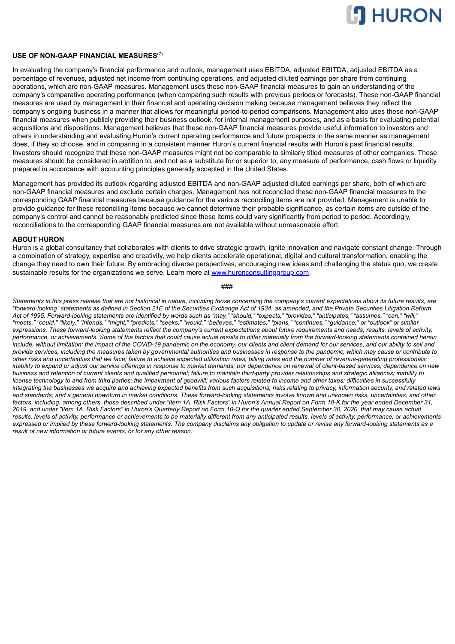

#### **USE OF NON-GAAP FINANCIAL MEASURES** (7)

In evaluating the company's financial performance and outlook, management uses EBITDA, adjusted EBITDA, adjusted EBITDA as a percentage of revenues, adjusted net income from continuing operations, and adjusted diluted earnings per share from continuing operations, which are non-GAAP measures. Management uses these non-GAAP financial measures to gain an understanding of the company's comparative operating performance (when comparing such results with previous periods or forecasts). These non-GAAP financial measures are used by management in their financial and operating decision making because management believes they reflect the company's ongoing business in a manner that allows for meaningful period-to-period comparisons. Management also uses these non-GAAP financial measures when publicly providing their business outlook, for internal management purposes, and as a basis for evaluating potential acquisitions and dispositions. Management believes that these non-GAAP financial measures provide useful information to investors and others in understanding and evaluating Huron's current operating performance and future prospects in the same manner as management does, if they so choose, and in comparing in a consistent manner Huron's current financial results with Huron's past financial results. Investors should recognize that these non-GAAP measures might not be comparable to similarly titled measures of other companies. These measures should be considered in addition to, and not as a substitute for or superior to, any measure of performance, cash flows or liquidity prepared in accordance with accounting principles generally accepted in the United States.

Management has provided its outlook regarding adjusted EBITDA and non-GAAP adjusted diluted earnings per share, both of which are non-GAAP financial measures and exclude certain charges. Management has not reconciled these non-GAAP financial measures to the corresponding GAAP financial measures because guidance for the various reconciling items are not provided. Management is unable to provide guidance for these reconciling items because we cannot determine their probable significance, as certain items are outside of the company's control and cannot be reasonably predicted since these items could vary significantly from period to period. Accordingly, reconciliations to the corresponding GAAP financial measures are not available without unreasonable effort.

#### **ABOUT HURON**

Huron is a global consultancy that collaborates with clients to drive strategic growth, ignite innovation and navigate constant change. Through a combination of strategy, expertise and creativity, we help clients accelerate operational, digital and cultural transformation, enabling the change they need to own their future. By embracing diverse perspectives, encouraging new ideas and challenging the status quo, we create sustainable results for the organizations we serve. Learn more at www.huronconsultinggroup.com.

###

*Statements in this press release that are not historical in nature, including those concerning the company's current expectations about its future results, are "forward-looking" statements as defined in Section 21E of the Securities Exchange Act of 1934, as amended, and the Private Securities Litigation Reform Act of 1995. Forward-looking statements are identified by words such as "may," "should," "expects," "provides," "anticipates," "assumes," "can," "will," "meets," "could," "likely," "intends," "might," "predicts," "seeks," "would," "believes," "estimates," "plans," "continues," "guidance," or "outlook" or similar expressions. These forward-looking statements reflect the company's current expectations about future requirements and needs, results, levels of activity, performance, or achievements. Some of the factors that could cause actual results to differ materially from the forward-looking statements contained herein include, without limitation: the impact of the COVID-19 pandemic on the economy, our clients and client demand for our services, and our ability to sell and provide services, including the measures taken by governmental authorities and businesses in response to the pandemic, which may cause or contribute to other risks and uncertainties that we face; failure to achieve expected utilization rates, billing rates and the number of revenue-generating professionals; inability to expand or adjust our service offerings in response to market demands; our dependence on renewal of client-based services; dependence on new business and retention of current clients and qualified personnel; failure to maintain third-party provider relationships and strategic alliances; inability to license technology to and from third parties; the impairment of goodwill; various factors related to income and other taxes; difficulties in successfully integrating the businesses we acquire and achieving expected benefits from such acquisitions; risks relating to privacy, information security, and related laws and standards; and a general downturn in market conditions. These forward-looking statements involve known and unknown risks, uncertainties, and other factors, including, among others, those described under "Item 1A. Risk Factors" in Huron's Annual Report on Form 10-K for the year ended December 31, 2019, and under "Item 1A. Risk Factors" in Huron's Quarterly Report on Form 10-Q for the quarter ended September 30, 2020, that may cause actual results, levels of activity, performance or achievements to be materially different from any anticipated results, levels of activity, performance, or achievements expressed or implied by these forward-looking statements. The company disclaims any obligation to update or revise any forward-looking statements as a result of new information or future events, or for any other reason.*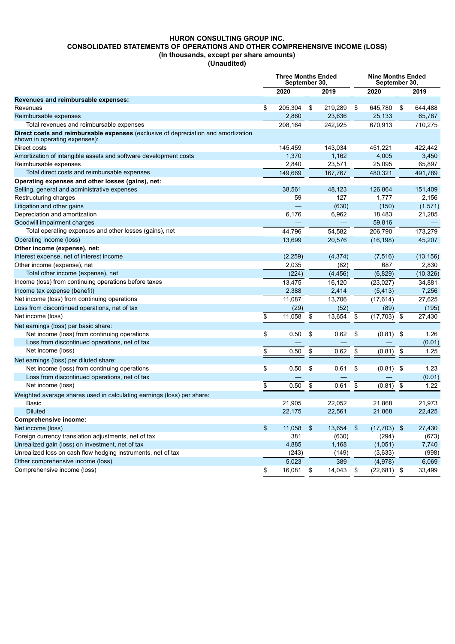## **HURON CONSULTING GROUP INC. CONSOLIDATED STATEMENTS OF OPERATIONS AND OTHER COMPREHENSIVE INCOME (LOSS) (In thousands, except per share amounts)**

**(Unaudited)**

|                                                                                                                     | <b>Three Months Ended</b><br>September 30, |    |          | <b>Nine Months Ended</b><br>September 30. |               |      |           |  |
|---------------------------------------------------------------------------------------------------------------------|--------------------------------------------|----|----------|-------------------------------------------|---------------|------|-----------|--|
|                                                                                                                     | 2020                                       |    | 2019     |                                           | 2020          |      | 2019      |  |
| Revenues and reimbursable expenses:                                                                                 |                                            |    |          |                                           |               |      |           |  |
| Revenues                                                                                                            | \$<br>205,304                              | \$ | 219,289  | -\$                                       | 645,780       | - \$ | 644.488   |  |
| Reimbursable expenses                                                                                               | 2,860                                      |    | 23,636   |                                           | 25,133        |      | 65,787    |  |
| Total revenues and reimbursable expenses                                                                            | 208,164                                    |    | 242,925  |                                           | 670,913       |      | 710,275   |  |
| Direct costs and reimbursable expenses (exclusive of depreciation and amortization<br>shown in operating expenses): |                                            |    |          |                                           |               |      |           |  |
| Direct costs                                                                                                        | 145,459                                    |    | 143,034  |                                           | 451,221       |      | 422,442   |  |
| Amortization of intangible assets and software development costs                                                    | 1,370                                      |    | 1,162    |                                           | 4,005         |      | 3,450     |  |
| Reimbursable expenses                                                                                               | 2,840                                      |    | 23,571   |                                           | 25,095        |      | 65,897    |  |
| Total direct costs and reimbursable expenses                                                                        | 149,669                                    |    | 167,767  |                                           | 480,321       |      | 491,789   |  |
| Operating expenses and other losses (gains), net:                                                                   |                                            |    |          |                                           |               |      |           |  |
| Selling, general and administrative expenses                                                                        | 38.561                                     |    | 48,123   |                                           | 126,864       |      | 151,409   |  |
| Restructuring charges                                                                                               | 59                                         |    | 127      |                                           | 1,777         |      | 2,156     |  |
| Litigation and other gains                                                                                          |                                            |    | (630)    |                                           | (150)         |      | (1,571)   |  |
| Depreciation and amortization                                                                                       | 6,176                                      |    | 6,962    |                                           | 18,483        |      | 21,285    |  |
| Goodwill impairment charges                                                                                         |                                            |    |          |                                           | 59,816        |      |           |  |
| Total operating expenses and other losses (gains), net                                                              | 44,796                                     |    | 54,582   |                                           | 206,790       |      | 173,279   |  |
| Operating income (loss)                                                                                             | 13,699                                     |    | 20,576   |                                           | (16, 198)     |      | 45,207    |  |
| Other income (expense), net:                                                                                        |                                            |    |          |                                           |               |      |           |  |
| Interest expense, net of interest income                                                                            | (2,259)                                    |    | (4, 374) |                                           | (7, 516)      |      | (13, 156) |  |
| Other income (expense), net                                                                                         | 2,035                                      |    | (82)     |                                           | 687           |      | 2,830     |  |
| Total other income (expense), net                                                                                   | (224)                                      |    | (4, 456) |                                           | (6, 829)      |      | (10, 326) |  |
| Income (loss) from continuing operations before taxes                                                               | 13,475                                     |    | 16,120   |                                           | (23, 027)     |      | 34,881    |  |
| Income tax expense (benefit)                                                                                        | 2,388                                      |    | 2,414    |                                           | (5, 413)      |      | 7,256     |  |
| Net income (loss) from continuing operations                                                                        | 11,087                                     |    | 13,706   |                                           | (17, 614)     |      | 27,625    |  |
| Loss from discontinued operations, net of tax                                                                       | (29)                                       |    | (52)     |                                           | (89)          |      | (195)     |  |
| Net income (loss)                                                                                                   | \$<br>11,058                               | \$ | 13,654   | \$                                        | (17, 703)     | \$   | 27,430    |  |
| Net earnings (loss) per basic share:                                                                                |                                            |    |          |                                           |               |      |           |  |
| Net income (loss) from continuing operations                                                                        | \$<br>0.50                                 | \$ | 0.62     | \$                                        | $(0.81)$ \$   |      | 1.26      |  |
| Loss from discontinued operations, net of tax                                                                       |                                            |    |          |                                           |               |      | (0.01)    |  |
| Net income (loss)                                                                                                   | \$<br>0.50                                 | \$ | 0.62     | \$                                        | (0.81)        | \$   | 1.25      |  |
|                                                                                                                     |                                            |    |          |                                           |               |      |           |  |
| Net earnings (loss) per diluted share:<br>Net income (loss) from continuing operations                              | \$<br>0.50                                 | \$ | 0.61     | \$                                        | $(0.81)$ \$   |      | 1.23      |  |
| Loss from discontinued operations, net of tax                                                                       |                                            |    |          |                                           |               |      | (0.01)    |  |
| Net income (loss)                                                                                                   | \$<br>0.50                                 | \$ | 0.61     | \$                                        | (0.81)        | \$   | 1.22      |  |
|                                                                                                                     |                                            |    |          |                                           |               |      |           |  |
| Weighted average shares used in calculating earnings (loss) per share:                                              |                                            |    |          |                                           |               |      |           |  |
| Basic                                                                                                               | 21,905                                     |    | 22,052   |                                           | 21,868        |      | 21,973    |  |
| <b>Diluted</b>                                                                                                      | 22,175                                     |    | 22,561   |                                           | 21,868        |      | 22,425    |  |
| <b>Comprehensive income:</b>                                                                                        |                                            |    |          |                                           |               |      |           |  |
| Net income (loss)                                                                                                   | \$<br>11,058                               | \$ | 13,654   | \$                                        | $(17,703)$ \$ |      | 27,430    |  |
| Foreign currency translation adjustments, net of tax                                                                | 381                                        |    | (630)    |                                           | (294)         |      | (673)     |  |
| Unrealized gain (loss) on investment, net of tax                                                                    | 4,885                                      |    | 1,168    |                                           | (1,051)       |      | 7,740     |  |
| Unrealized loss on cash flow hedging instruments, net of tax                                                        | (243)                                      |    | (149)    |                                           | (3,633)       |      | (998)     |  |
| Other comprehensive income (loss)                                                                                   | 5,023                                      |    | 389      |                                           | (4,978)       |      | 6,069     |  |
| Comprehensive income (loss)                                                                                         | \$<br>16,081                               | \$ | 14,043   | \$                                        | (22,681)      | \$   | 33,499    |  |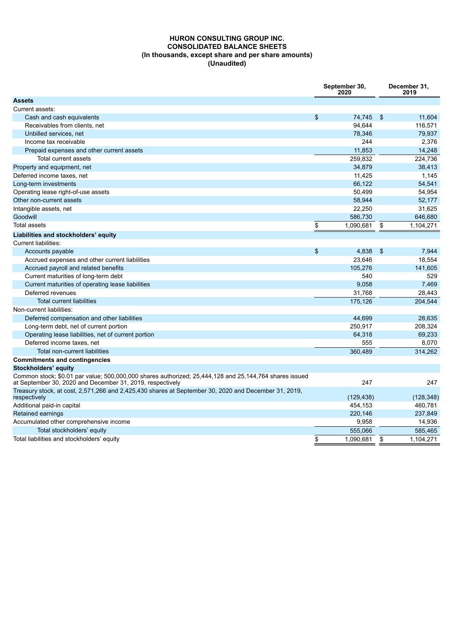## **HURON CONSULTING GROUP INC. CONSOLIDATED BALANCE SHEETS (In thousands, except share and per share amounts) (Unaudited)**

|                                                                                                                                                                     | September 30,<br>2020 |            |                           | December 31,<br>2019 |
|---------------------------------------------------------------------------------------------------------------------------------------------------------------------|-----------------------|------------|---------------------------|----------------------|
| <b>Assets</b>                                                                                                                                                       |                       |            |                           |                      |
| Current assets:                                                                                                                                                     |                       |            |                           |                      |
| Cash and cash equivalents                                                                                                                                           | \$                    | 74,745     | $\boldsymbol{\mathsf{s}}$ | 11,604               |
| Receivables from clients, net                                                                                                                                       |                       | 94,644     |                           | 116,571              |
| Unbilled services, net                                                                                                                                              |                       | 78,346     |                           | 79,937               |
| Income tax receivable                                                                                                                                               |                       | 244        |                           | 2,376                |
| Prepaid expenses and other current assets                                                                                                                           |                       | 11,853     |                           | 14,248               |
| Total current assets                                                                                                                                                |                       | 259,832    |                           | 224,736              |
| Property and equipment, net                                                                                                                                         |                       | 34,879     |                           | 38,413               |
| Deferred income taxes, net                                                                                                                                          |                       | 11,425     |                           | 1.145                |
| Long-term investments                                                                                                                                               |                       | 66,122     |                           | 54,541               |
| Operating lease right-of-use assets                                                                                                                                 |                       | 50,499     |                           | 54,954               |
| Other non-current assets                                                                                                                                            |                       | 58,944     |                           | 52,177               |
| Intangible assets, net                                                                                                                                              |                       | 22,250     |                           | 31,625               |
| Goodwill                                                                                                                                                            |                       | 586,730    |                           | 646,680              |
| <b>Total assets</b>                                                                                                                                                 | \$                    | 1,090,681  | \$                        | 1,104,271            |
| Liabilities and stockholders' equity                                                                                                                                |                       |            |                           |                      |
| Current liabilities:                                                                                                                                                |                       |            |                           |                      |
| Accounts payable                                                                                                                                                    | \$                    | 4,838      | \$                        | 7,944                |
| Accrued expenses and other current liabilities                                                                                                                      |                       | 23,646     |                           | 18,554               |
| Accrued payroll and related benefits                                                                                                                                |                       | 105,276    |                           | 141,605              |
| Current maturities of long-term debt                                                                                                                                |                       | 540        |                           | 529                  |
| Current maturities of operating lease liabilities                                                                                                                   |                       | 9,058      |                           | 7,469                |
| Deferred revenues                                                                                                                                                   |                       | 31,768     |                           | 28,443               |
| <b>Total current liabilities</b>                                                                                                                                    |                       | 175,126    |                           | 204,544              |
| Non-current liabilities:                                                                                                                                            |                       |            |                           |                      |
| Deferred compensation and other liabilities                                                                                                                         |                       | 44,699     |                           | 28,635               |
| Long-term debt, net of current portion                                                                                                                              |                       | 250,917    |                           | 208,324              |
| Operating lease liabilities, net of current portion                                                                                                                 |                       | 64,318     |                           | 69,233               |
| Deferred income taxes, net                                                                                                                                          |                       | 555        |                           | 8,070                |
| Total non-current liabilities                                                                                                                                       |                       | 360,489    |                           | 314,262              |
| <b>Commitments and contingencies</b>                                                                                                                                |                       |            |                           |                      |
| <b>Stockholders' equity</b>                                                                                                                                         |                       |            |                           |                      |
| Common stock; \$0.01 par value; 500,000,000 shares authorized; 25,444,128 and 25,144,764 shares issued<br>at September 30, 2020 and December 31, 2019, respectively |                       | 247        |                           | 247                  |
| Treasury stock, at cost, 2,571,266 and 2,425,430 shares at September 30, 2020 and December 31, 2019,<br>respectively                                                |                       | (129, 438) |                           | (128, 348)           |
| Additional paid-in capital                                                                                                                                          |                       | 454,153    |                           | 460,781              |
| Retained earnings                                                                                                                                                   |                       | 220,146    |                           | 237,849              |
| Accumulated other comprehensive income                                                                                                                              |                       | 9,958      |                           | 14,936               |
| Total stockholders' equity                                                                                                                                          |                       | 555,066    |                           | 585,465              |
| Total liabilities and stockholders' equity                                                                                                                          | \$                    | 1.090.681  | \$                        | 1.104.271            |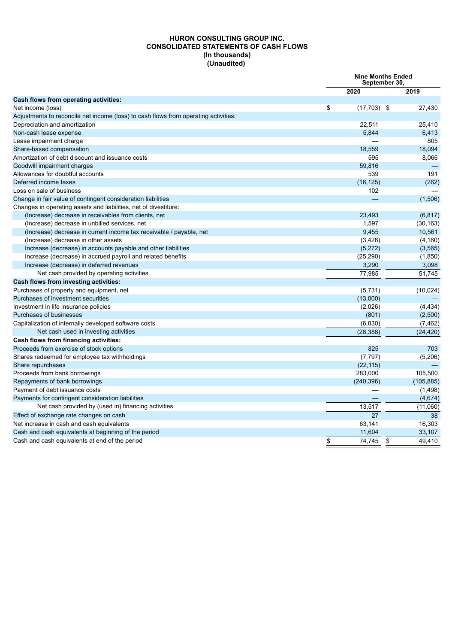#### **HURON CONSULTING GROUP INC. CONSOLIDATED STATEMENTS OF CASH FLOWS (In thousands) (Unaudited)**

| 2020<br>2019<br>\$<br>$(17,703)$ \$<br>27,430<br>22,511<br>25,410<br>5.844<br>6.413<br>805<br>18,094<br>18.559<br>595<br>8,066<br>59,816<br>539<br>191<br>Allowances for doubtful accounts<br>(16, 125)<br>(262)<br>102<br>(1,506)<br>23,493<br>(Increase) decrease in receivables from clients, net<br>(6, 817)<br>1,597<br>(30, 163)<br>(Increase) decrease in unbilled services, net<br>9,455<br>10,561<br>(Increase) decrease in current income tax receivable / payable, net<br>(3, 426)<br>(4, 160)<br>(Increase) decrease in other assets<br>(5, 272)<br>(3, 565)<br>Increase (decrease) in accounts payable and other liabilities<br>Increase (decrease) in accrued payroll and related benefits<br>(25, 290)<br>(1,850)<br>Increase (decrease) in deferred revenues<br>3,290<br>3,098<br>Net cash provided by operating activities<br>77,985<br>51,745<br>(5,731)<br>(10, 024)<br>(13,000)<br>(2,026)<br>(4, 434)<br>(2,500)<br>(801)<br>(6,830)<br>(7, 462)<br>Net cash used in investing activities<br>(28, 388)<br>(24, 420)<br>Cash flows from financing activities:<br>825<br>703<br>(5,206)<br>Shares redeemed for employee tax withholdings<br>(7, 797)<br>(22, 115)<br>283,000<br>105,500<br>Repayments of bank borrowings<br>(240, 396)<br>(105, 885)<br>Payment of debt issuance costs<br>(1,498)<br>(4,674)<br>Net cash provided by (used in) financing activities<br>13,517<br>(11,060)<br>Effect of exchange rate changes on cash<br>27<br>38<br>63,141<br>16,303<br>Net increase in cash and cash equivalents<br>11,604<br>33,107<br>Cash and cash equivalents at beginning of the period |                                                                                     | <b>Nine Months Ended</b><br>September 30, |    |        |
|------------------------------------------------------------------------------------------------------------------------------------------------------------------------------------------------------------------------------------------------------------------------------------------------------------------------------------------------------------------------------------------------------------------------------------------------------------------------------------------------------------------------------------------------------------------------------------------------------------------------------------------------------------------------------------------------------------------------------------------------------------------------------------------------------------------------------------------------------------------------------------------------------------------------------------------------------------------------------------------------------------------------------------------------------------------------------------------------------------------------------------------------------------------------------------------------------------------------------------------------------------------------------------------------------------------------------------------------------------------------------------------------------------------------------------------------------------------------------------------------------------------------------------------------------------------------------------------------------------------|-------------------------------------------------------------------------------------|-------------------------------------------|----|--------|
|                                                                                                                                                                                                                                                                                                                                                                                                                                                                                                                                                                                                                                                                                                                                                                                                                                                                                                                                                                                                                                                                                                                                                                                                                                                                                                                                                                                                                                                                                                                                                                                                                  |                                                                                     |                                           |    |        |
|                                                                                                                                                                                                                                                                                                                                                                                                                                                                                                                                                                                                                                                                                                                                                                                                                                                                                                                                                                                                                                                                                                                                                                                                                                                                                                                                                                                                                                                                                                                                                                                                                  | <b>Cash flows from operating activities:</b>                                        |                                           |    |        |
|                                                                                                                                                                                                                                                                                                                                                                                                                                                                                                                                                                                                                                                                                                                                                                                                                                                                                                                                                                                                                                                                                                                                                                                                                                                                                                                                                                                                                                                                                                                                                                                                                  | Net income (loss)                                                                   |                                           |    |        |
|                                                                                                                                                                                                                                                                                                                                                                                                                                                                                                                                                                                                                                                                                                                                                                                                                                                                                                                                                                                                                                                                                                                                                                                                                                                                                                                                                                                                                                                                                                                                                                                                                  | Adjustments to reconcile net income (loss) to cash flows from operating activities: |                                           |    |        |
|                                                                                                                                                                                                                                                                                                                                                                                                                                                                                                                                                                                                                                                                                                                                                                                                                                                                                                                                                                                                                                                                                                                                                                                                                                                                                                                                                                                                                                                                                                                                                                                                                  | Depreciation and amortization                                                       |                                           |    |        |
|                                                                                                                                                                                                                                                                                                                                                                                                                                                                                                                                                                                                                                                                                                                                                                                                                                                                                                                                                                                                                                                                                                                                                                                                                                                                                                                                                                                                                                                                                                                                                                                                                  | Non-cash lease expense                                                              |                                           |    |        |
|                                                                                                                                                                                                                                                                                                                                                                                                                                                                                                                                                                                                                                                                                                                                                                                                                                                                                                                                                                                                                                                                                                                                                                                                                                                                                                                                                                                                                                                                                                                                                                                                                  | Lease impairment charge                                                             |                                           |    |        |
|                                                                                                                                                                                                                                                                                                                                                                                                                                                                                                                                                                                                                                                                                                                                                                                                                                                                                                                                                                                                                                                                                                                                                                                                                                                                                                                                                                                                                                                                                                                                                                                                                  | Share-based compensation                                                            |                                           |    |        |
|                                                                                                                                                                                                                                                                                                                                                                                                                                                                                                                                                                                                                                                                                                                                                                                                                                                                                                                                                                                                                                                                                                                                                                                                                                                                                                                                                                                                                                                                                                                                                                                                                  | Amortization of debt discount and issuance costs                                    |                                           |    |        |
|                                                                                                                                                                                                                                                                                                                                                                                                                                                                                                                                                                                                                                                                                                                                                                                                                                                                                                                                                                                                                                                                                                                                                                                                                                                                                                                                                                                                                                                                                                                                                                                                                  | Goodwill impairment charges                                                         |                                           |    |        |
|                                                                                                                                                                                                                                                                                                                                                                                                                                                                                                                                                                                                                                                                                                                                                                                                                                                                                                                                                                                                                                                                                                                                                                                                                                                                                                                                                                                                                                                                                                                                                                                                                  |                                                                                     |                                           |    |        |
|                                                                                                                                                                                                                                                                                                                                                                                                                                                                                                                                                                                                                                                                                                                                                                                                                                                                                                                                                                                                                                                                                                                                                                                                                                                                                                                                                                                                                                                                                                                                                                                                                  | Deferred income taxes                                                               |                                           |    |        |
|                                                                                                                                                                                                                                                                                                                                                                                                                                                                                                                                                                                                                                                                                                                                                                                                                                                                                                                                                                                                                                                                                                                                                                                                                                                                                                                                                                                                                                                                                                                                                                                                                  | Loss on sale of business                                                            |                                           |    |        |
|                                                                                                                                                                                                                                                                                                                                                                                                                                                                                                                                                                                                                                                                                                                                                                                                                                                                                                                                                                                                                                                                                                                                                                                                                                                                                                                                                                                                                                                                                                                                                                                                                  | Change in fair value of contingent consideration liabilities                        |                                           |    |        |
|                                                                                                                                                                                                                                                                                                                                                                                                                                                                                                                                                                                                                                                                                                                                                                                                                                                                                                                                                                                                                                                                                                                                                                                                                                                                                                                                                                                                                                                                                                                                                                                                                  | Changes in operating assets and liabilities, net of divestiture:                    |                                           |    |        |
|                                                                                                                                                                                                                                                                                                                                                                                                                                                                                                                                                                                                                                                                                                                                                                                                                                                                                                                                                                                                                                                                                                                                                                                                                                                                                                                                                                                                                                                                                                                                                                                                                  |                                                                                     |                                           |    |        |
|                                                                                                                                                                                                                                                                                                                                                                                                                                                                                                                                                                                                                                                                                                                                                                                                                                                                                                                                                                                                                                                                                                                                                                                                                                                                                                                                                                                                                                                                                                                                                                                                                  |                                                                                     |                                           |    |        |
|                                                                                                                                                                                                                                                                                                                                                                                                                                                                                                                                                                                                                                                                                                                                                                                                                                                                                                                                                                                                                                                                                                                                                                                                                                                                                                                                                                                                                                                                                                                                                                                                                  |                                                                                     |                                           |    |        |
|                                                                                                                                                                                                                                                                                                                                                                                                                                                                                                                                                                                                                                                                                                                                                                                                                                                                                                                                                                                                                                                                                                                                                                                                                                                                                                                                                                                                                                                                                                                                                                                                                  |                                                                                     |                                           |    |        |
|                                                                                                                                                                                                                                                                                                                                                                                                                                                                                                                                                                                                                                                                                                                                                                                                                                                                                                                                                                                                                                                                                                                                                                                                                                                                                                                                                                                                                                                                                                                                                                                                                  |                                                                                     |                                           |    |        |
|                                                                                                                                                                                                                                                                                                                                                                                                                                                                                                                                                                                                                                                                                                                                                                                                                                                                                                                                                                                                                                                                                                                                                                                                                                                                                                                                                                                                                                                                                                                                                                                                                  |                                                                                     |                                           |    |        |
|                                                                                                                                                                                                                                                                                                                                                                                                                                                                                                                                                                                                                                                                                                                                                                                                                                                                                                                                                                                                                                                                                                                                                                                                                                                                                                                                                                                                                                                                                                                                                                                                                  |                                                                                     |                                           |    |        |
|                                                                                                                                                                                                                                                                                                                                                                                                                                                                                                                                                                                                                                                                                                                                                                                                                                                                                                                                                                                                                                                                                                                                                                                                                                                                                                                                                                                                                                                                                                                                                                                                                  |                                                                                     |                                           |    |        |
|                                                                                                                                                                                                                                                                                                                                                                                                                                                                                                                                                                                                                                                                                                                                                                                                                                                                                                                                                                                                                                                                                                                                                                                                                                                                                                                                                                                                                                                                                                                                                                                                                  | Cash flows from investing activities:                                               |                                           |    |        |
|                                                                                                                                                                                                                                                                                                                                                                                                                                                                                                                                                                                                                                                                                                                                                                                                                                                                                                                                                                                                                                                                                                                                                                                                                                                                                                                                                                                                                                                                                                                                                                                                                  | Purchases of property and equipment, net                                            |                                           |    |        |
|                                                                                                                                                                                                                                                                                                                                                                                                                                                                                                                                                                                                                                                                                                                                                                                                                                                                                                                                                                                                                                                                                                                                                                                                                                                                                                                                                                                                                                                                                                                                                                                                                  | Purchases of investment securities                                                  |                                           |    |        |
|                                                                                                                                                                                                                                                                                                                                                                                                                                                                                                                                                                                                                                                                                                                                                                                                                                                                                                                                                                                                                                                                                                                                                                                                                                                                                                                                                                                                                                                                                                                                                                                                                  | Investment in life insurance policies                                               |                                           |    |        |
|                                                                                                                                                                                                                                                                                                                                                                                                                                                                                                                                                                                                                                                                                                                                                                                                                                                                                                                                                                                                                                                                                                                                                                                                                                                                                                                                                                                                                                                                                                                                                                                                                  | Purchases of businesses                                                             |                                           |    |        |
|                                                                                                                                                                                                                                                                                                                                                                                                                                                                                                                                                                                                                                                                                                                                                                                                                                                                                                                                                                                                                                                                                                                                                                                                                                                                                                                                                                                                                                                                                                                                                                                                                  | Capitalization of internally developed software costs                               |                                           |    |        |
|                                                                                                                                                                                                                                                                                                                                                                                                                                                                                                                                                                                                                                                                                                                                                                                                                                                                                                                                                                                                                                                                                                                                                                                                                                                                                                                                                                                                                                                                                                                                                                                                                  |                                                                                     |                                           |    |        |
|                                                                                                                                                                                                                                                                                                                                                                                                                                                                                                                                                                                                                                                                                                                                                                                                                                                                                                                                                                                                                                                                                                                                                                                                                                                                                                                                                                                                                                                                                                                                                                                                                  |                                                                                     |                                           |    |        |
|                                                                                                                                                                                                                                                                                                                                                                                                                                                                                                                                                                                                                                                                                                                                                                                                                                                                                                                                                                                                                                                                                                                                                                                                                                                                                                                                                                                                                                                                                                                                                                                                                  | Proceeds from exercise of stock options                                             |                                           |    |        |
|                                                                                                                                                                                                                                                                                                                                                                                                                                                                                                                                                                                                                                                                                                                                                                                                                                                                                                                                                                                                                                                                                                                                                                                                                                                                                                                                                                                                                                                                                                                                                                                                                  |                                                                                     |                                           |    |        |
|                                                                                                                                                                                                                                                                                                                                                                                                                                                                                                                                                                                                                                                                                                                                                                                                                                                                                                                                                                                                                                                                                                                                                                                                                                                                                                                                                                                                                                                                                                                                                                                                                  | Share repurchases                                                                   |                                           |    |        |
|                                                                                                                                                                                                                                                                                                                                                                                                                                                                                                                                                                                                                                                                                                                                                                                                                                                                                                                                                                                                                                                                                                                                                                                                                                                                                                                                                                                                                                                                                                                                                                                                                  | Proceeds from bank borrowings                                                       |                                           |    |        |
|                                                                                                                                                                                                                                                                                                                                                                                                                                                                                                                                                                                                                                                                                                                                                                                                                                                                                                                                                                                                                                                                                                                                                                                                                                                                                                                                                                                                                                                                                                                                                                                                                  |                                                                                     |                                           |    |        |
|                                                                                                                                                                                                                                                                                                                                                                                                                                                                                                                                                                                                                                                                                                                                                                                                                                                                                                                                                                                                                                                                                                                                                                                                                                                                                                                                                                                                                                                                                                                                                                                                                  |                                                                                     |                                           |    |        |
|                                                                                                                                                                                                                                                                                                                                                                                                                                                                                                                                                                                                                                                                                                                                                                                                                                                                                                                                                                                                                                                                                                                                                                                                                                                                                                                                                                                                                                                                                                                                                                                                                  | Payments for contingent consideration liabilities                                   |                                           |    |        |
|                                                                                                                                                                                                                                                                                                                                                                                                                                                                                                                                                                                                                                                                                                                                                                                                                                                                                                                                                                                                                                                                                                                                                                                                                                                                                                                                                                                                                                                                                                                                                                                                                  |                                                                                     |                                           |    |        |
|                                                                                                                                                                                                                                                                                                                                                                                                                                                                                                                                                                                                                                                                                                                                                                                                                                                                                                                                                                                                                                                                                                                                                                                                                                                                                                                                                                                                                                                                                                                                                                                                                  |                                                                                     |                                           |    |        |
|                                                                                                                                                                                                                                                                                                                                                                                                                                                                                                                                                                                                                                                                                                                                                                                                                                                                                                                                                                                                                                                                                                                                                                                                                                                                                                                                                                                                                                                                                                                                                                                                                  |                                                                                     |                                           |    |        |
|                                                                                                                                                                                                                                                                                                                                                                                                                                                                                                                                                                                                                                                                                                                                                                                                                                                                                                                                                                                                                                                                                                                                                                                                                                                                                                                                                                                                                                                                                                                                                                                                                  |                                                                                     |                                           |    |        |
|                                                                                                                                                                                                                                                                                                                                                                                                                                                                                                                                                                                                                                                                                                                                                                                                                                                                                                                                                                                                                                                                                                                                                                                                                                                                                                                                                                                                                                                                                                                                                                                                                  | Cash and cash equivalents at end of the period                                      | \$<br>74,745                              | \$ | 49,410 |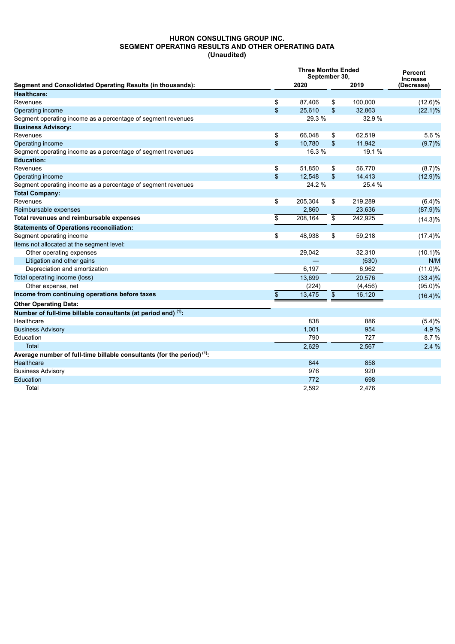#### **HURON CONSULTING GROUP INC. SEGMENT OPERATING RESULTS AND OTHER OPERATING DATA (Unaudited)**

|                                                                                    |    | <b>Three Months Ended</b><br>September 30, |               |          |            |  |  |
|------------------------------------------------------------------------------------|----|--------------------------------------------|---------------|----------|------------|--|--|
| Segment and Consolidated Operating Results (in thousands):                         |    | 2020                                       |               | 2019     | (Decrease) |  |  |
| <b>Healthcare:</b>                                                                 |    |                                            |               |          |            |  |  |
| Revenues                                                                           | \$ | 87,406                                     | \$            | 100,000  | $(12.6)\%$ |  |  |
| Operating income                                                                   | \$ | 25,610                                     | $\mathsf{\$}$ | 32,863   | $(22.1)\%$ |  |  |
| Segment operating income as a percentage of segment revenues                       |    | 29.3%                                      |               | 32.9%    |            |  |  |
| <b>Business Advisory:</b>                                                          |    |                                            |               |          |            |  |  |
| Revenues                                                                           | \$ | 66,048                                     | \$            | 62,519   | 5.6%       |  |  |
| Operating income                                                                   | \$ | 10,780                                     | \$            | 11,942   | (9.7)%     |  |  |
| Segment operating income as a percentage of segment revenues                       |    | 16.3%                                      |               | 19.1 %   |            |  |  |
| <b>Education:</b>                                                                  |    |                                            |               |          |            |  |  |
| Revenues                                                                           | \$ | 51,850                                     | \$            | 56,770   | (8.7)%     |  |  |
| Operating income                                                                   | \$ | 12,548                                     | \$            | 14,413   | $(12.9)\%$ |  |  |
| Segment operating income as a percentage of segment revenues                       |    | 24.2 %                                     |               | 25.4 %   |            |  |  |
| <b>Total Company:</b>                                                              |    |                                            |               |          |            |  |  |
| Revenues                                                                           | \$ | 205,304                                    | \$            | 219,289  | (6.4)%     |  |  |
| Reimbursable expenses                                                              |    | 2,860                                      |               | 23,636   | (87.9)%    |  |  |
| Total revenues and reimbursable expenses                                           | \$ | 208,164                                    | \$            | 242,925  | $(14.3)\%$ |  |  |
| <b>Statements of Operations reconciliation:</b>                                    |    |                                            |               |          |            |  |  |
| Segment operating income                                                           | \$ | 48,938                                     | \$            | 59,218   | (17.4)%    |  |  |
| Items not allocated at the segment level:                                          |    |                                            |               |          |            |  |  |
| Other operating expenses                                                           |    | 29,042                                     |               | 32,310   | $(10.1)\%$ |  |  |
| Litigation and other gains                                                         |    |                                            |               | (630)    | N/M        |  |  |
| Depreciation and amortization                                                      |    | 6,197                                      |               | 6,962    | $(11.0)\%$ |  |  |
| Total operating income (loss)                                                      |    | 13,699                                     |               | 20,576   | $(33.4)\%$ |  |  |
| Other expense, net                                                                 |    | (224)                                      |               | (4, 456) | $(95.0)\%$ |  |  |
| Income from continuing operations before taxes                                     | \$ | 13,475                                     | \$            | 16,120   | (16.4)%    |  |  |
| <b>Other Operating Data:</b>                                                       |    |                                            |               |          |            |  |  |
| Number of full-time billable consultants (at period end) (1):                      |    |                                            |               |          |            |  |  |
| Healthcare                                                                         |    | 838                                        |               | 886      | (5.4)%     |  |  |
| <b>Business Advisory</b>                                                           |    | 1,001                                      |               | 954      | 4.9%       |  |  |
| Education                                                                          |    | 790                                        |               | 727      | 8.7%       |  |  |
| Total                                                                              |    | 2,629                                      |               | 2,567    | 2.4%       |  |  |
| Average number of full-time billable consultants (for the period) <sup>(1)</sup> : |    |                                            |               |          |            |  |  |
| Healthcare                                                                         |    | 844                                        |               | 858      |            |  |  |
| <b>Business Advisory</b>                                                           |    | 976                                        |               | 920      |            |  |  |
| Education                                                                          |    | 772                                        |               | 698      |            |  |  |
| Total                                                                              |    | 2,592                                      |               | 2,476    |            |  |  |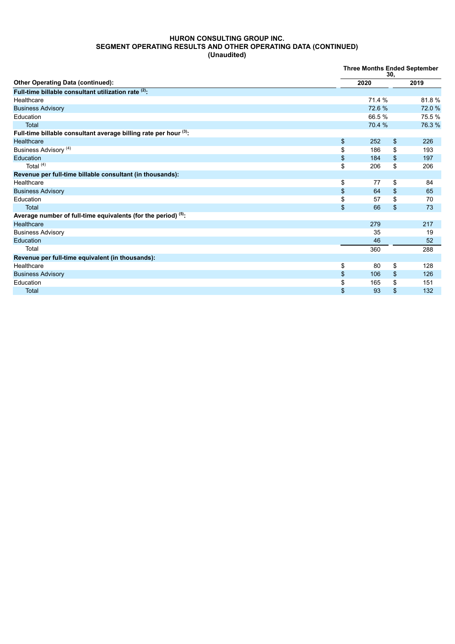## **HURON CONSULTING GROUP INC. SEGMENT OPERATING RESULTS AND OTHER OPERATING DATA (CONTINUED) (Unaudited)**

|                                                                  |    | <b>Three Months Ended September</b><br>30, |    |        |  |  |  |
|------------------------------------------------------------------|----|--------------------------------------------|----|--------|--|--|--|
| <b>Other Operating Data (continued):</b>                         |    | 2020                                       |    | 2019   |  |  |  |
| Full-time billable consultant utilization rate (2):              |    |                                            |    |        |  |  |  |
| Healthcare                                                       |    | 71.4 %                                     |    | 81.8%  |  |  |  |
| <b>Business Advisory</b>                                         |    | 72.6%                                      |    | 72.0 % |  |  |  |
| Education                                                        |    | 66.5 %                                     |    | 75.5 % |  |  |  |
| <b>Total</b>                                                     |    | 70.4 %                                     |    | 76.3 % |  |  |  |
| Full-time billable consultant average billing rate per hour (3): |    |                                            |    |        |  |  |  |
| Healthcare                                                       | \$ | 252                                        | \$ | 226    |  |  |  |
| Business Advisory <sup>(4)</sup>                                 | \$ | 186                                        | \$ | 193    |  |  |  |
| Education                                                        | \$ | 184                                        | \$ | 197    |  |  |  |
| Total <sup>(4)</sup>                                             | \$ | 206                                        | \$ | 206    |  |  |  |
| Revenue per full-time billable consultant (in thousands):        |    |                                            |    |        |  |  |  |
| Healthcare                                                       | \$ | 77                                         | \$ | 84     |  |  |  |
| <b>Business Advisory</b>                                         | \$ | 64                                         | \$ | 65     |  |  |  |
| Education                                                        | \$ | 57                                         | \$ | 70     |  |  |  |
| Total                                                            | \$ | 66                                         | \$ | 73     |  |  |  |
| Average number of full-time equivalents (for the period) (5):    |    |                                            |    |        |  |  |  |
| Healthcare                                                       |    | 279                                        |    | 217    |  |  |  |
| <b>Business Advisory</b>                                         |    | 35                                         |    | 19     |  |  |  |
| Education                                                        |    | 46                                         |    | 52     |  |  |  |
| Total                                                            |    | 360                                        |    | 288    |  |  |  |
| Revenue per full-time equivalent (in thousands):                 |    |                                            |    |        |  |  |  |
| Healthcare                                                       | \$ | 80                                         | \$ | 128    |  |  |  |
| <b>Business Advisory</b>                                         | \$ | 106                                        | \$ | 126    |  |  |  |
| Education                                                        | \$ | 165                                        | \$ | 151    |  |  |  |
| Total                                                            | \$ | 93                                         | \$ | 132    |  |  |  |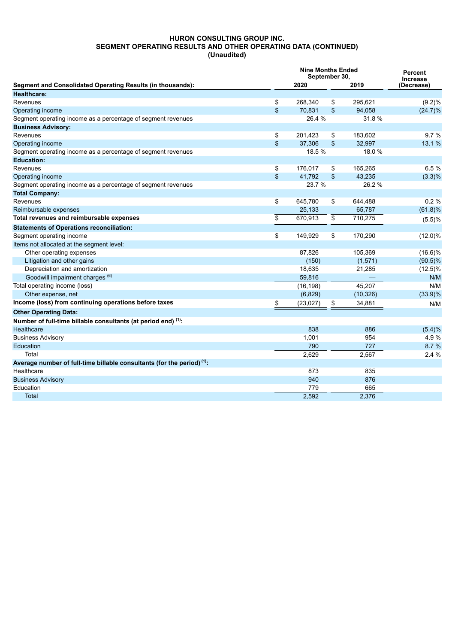#### **HURON CONSULTING GROUP INC. SEGMENT OPERATING RESULTS AND OTHER OPERATING DATA (CONTINUED) (Unaudited)**

|                                                                                    |    | <b>Percent</b><br><b>Increase</b> |                |           |            |
|------------------------------------------------------------------------------------|----|-----------------------------------|----------------|-----------|------------|
| Segment and Consolidated Operating Results (in thousands):                         |    | 2020                              |                | 2019      | (Decrease) |
| <b>Healthcare:</b>                                                                 |    |                                   |                |           |            |
| Revenues                                                                           | \$ | 268,340                           | \$             | 295,621   | (9.2)%     |
| Operating income                                                                   | \$ | 70.831                            | \$             | 94.058    | $(24.7)\%$ |
| Segment operating income as a percentage of segment revenues                       |    | 26.4 %                            |                | 31.8 %    |            |
| <b>Business Advisory:</b>                                                          |    |                                   |                |           |            |
| Revenues                                                                           | \$ | 201,423                           | \$             | 183,602   | 9.7%       |
| Operating income                                                                   | \$ | 37,306                            | $\mathfrak{S}$ | 32,997    | 13.1 %     |
| Segment operating income as a percentage of segment revenues                       |    | 18.5 %                            |                | 18.0%     |            |
| <b>Education:</b>                                                                  |    |                                   |                |           |            |
| Revenues                                                                           | \$ | 176,017                           | \$             | 165,265   | 6.5%       |
| Operating income                                                                   | \$ | 41,792                            | \$             | 43,235    | (3.3)%     |
| Segment operating income as a percentage of segment revenues                       |    | 23.7 %                            |                | 26.2 %    |            |
| <b>Total Company:</b>                                                              |    |                                   |                |           |            |
| Revenues                                                                           | \$ | 645,780                           | \$             | 644,488   | 0.2%       |
| Reimbursable expenses                                                              |    | 25,133                            |                | 65,787    | $(61.8)\%$ |
| Total revenues and reimbursable expenses                                           | \$ | 670,913                           | \$             | 710,275   | (5.5)%     |
| <b>Statements of Operations reconciliation:</b>                                    |    |                                   |                |           |            |
| Segment operating income                                                           | \$ | 149,929                           | \$             | 170,290   | $(12.0)\%$ |
| Items not allocated at the segment level:                                          |    |                                   |                |           |            |
| Other operating expenses                                                           |    | 87.826                            |                | 105,369   | $(16.6)\%$ |
| Litigation and other gains                                                         |    | (150)                             |                | (1,571)   | $(90.5)\%$ |
| Depreciation and amortization                                                      |    | 18,635                            |                | 21,285    | $(12.5)\%$ |
| Goodwill impairment charges (6)                                                    |    | 59,816                            |                |           | N/M        |
| Total operating income (loss)                                                      |    | (16, 198)                         |                | 45,207    | N/M        |
| Other expense, net                                                                 |    | (6,829)                           |                | (10, 326) | (33.9)%    |
| Income (loss) from continuing operations before taxes                              | \$ | (23, 027)                         | \$             | 34,881    | N/M        |
| <b>Other Operating Data:</b>                                                       |    |                                   |                |           |            |
| Number of full-time billable consultants (at period end) (1):                      |    |                                   |                |           |            |
| Healthcare                                                                         |    | 838                               |                | 886       | (5.4)%     |
| <b>Business Advisory</b>                                                           |    | 1,001                             |                | 954       | 4.9%       |
| Education                                                                          |    | 790                               |                | 727       | 8.7%       |
| Total                                                                              |    | 2,629                             |                | 2,567     | 2.4%       |
| Average number of full-time billable consultants (for the period) <sup>(1)</sup> : |    |                                   |                |           |            |
| Healthcare                                                                         |    | 873                               |                | 835       |            |
| <b>Business Advisory</b>                                                           |    | 940                               |                | 876       |            |
| Education                                                                          |    | 779                               |                | 665       |            |
| Total                                                                              |    | 2,592                             |                | 2,376     |            |
|                                                                                    |    |                                   |                |           |            |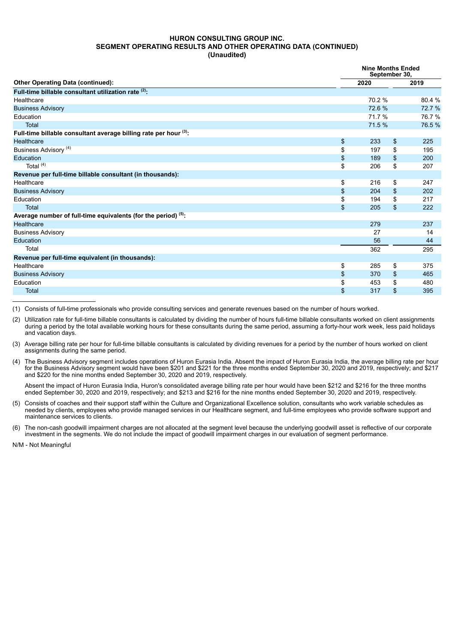#### **HURON CONSULTING GROUP INC. SEGMENT OPERATING RESULTS AND OTHER OPERATING DATA (CONTINUED) (Unaudited)**

| <b>Other Operating Data (continued):</b>                         |    |        | <b>Nine Months Ended</b><br>September 30, |  |
|------------------------------------------------------------------|----|--------|-------------------------------------------|--|
|                                                                  |    | 2020   | 2019                                      |  |
| Full-time billable consultant utilization rate (2):              |    |        |                                           |  |
| Healthcare                                                       |    | 70.2 % | 80.4 %                                    |  |
| <b>Business Advisory</b>                                         |    | 72.6%  | 72.7 %                                    |  |
| Education                                                        |    | 71.7%  | 76.7%                                     |  |
| <b>Total</b>                                                     |    | 71.5 % | 76.5 %                                    |  |
| Full-time billable consultant average billing rate per hour (3): |    |        |                                           |  |
| Healthcare                                                       | \$ | 233    | \$<br>225                                 |  |
| Business Advisory <sup>(4)</sup>                                 | \$ | 197    | \$<br>195                                 |  |
| Education                                                        | \$ | 189    | \$<br>200                                 |  |
| Total <sup>(4)</sup>                                             | \$ | 206    | \$<br>207                                 |  |
| Revenue per full-time billable consultant (in thousands):        |    |        |                                           |  |
| Healthcare                                                       | \$ | 216    | \$<br>247                                 |  |
| <b>Business Advisory</b>                                         | \$ | 204    | \$<br>202                                 |  |
| Education                                                        | \$ | 194    | \$<br>217                                 |  |
| Total                                                            | \$ | 205    | \$<br>222                                 |  |
| Average number of full-time equivalents (for the period) (5).    |    |        |                                           |  |
| Healthcare                                                       |    | 279    | 237                                       |  |
| <b>Business Advisory</b>                                         |    | 27     | 14                                        |  |
| Education                                                        |    | 56     | 44                                        |  |
| Total                                                            |    | 362    | 295                                       |  |
| Revenue per full-time equivalent (in thousands):                 |    |        |                                           |  |
| Healthcare                                                       | \$ | 285    | \$<br>375                                 |  |
| <b>Business Advisory</b>                                         | \$ | 370    | \$<br>465                                 |  |
| Education                                                        | \$ | 453    | \$<br>480                                 |  |
| Total                                                            | \$ | 317    | \$<br>395                                 |  |
|                                                                  |    |        |                                           |  |

(1) Consists of full-time professionals who provide consulting services and generate revenues based on the number of hours worked.

(2) Utilization rate for full-time billable consultants is calculated by dividing the number of hours full-time billable consultants worked on client assignments during a period by the total available working hours for these consultants during the same period, assuming a forty-hour work week, less paid holidays and vacation days.

(3) Average billing rate per hour for full-time billable consultants is calculated by dividing revenues for a period by the number of hours worked on client assignments during the same period.

(4) The Business Advisory segment includes operations of Huron Eurasia India. Absent the impact of Huron Eurasia India, the average billing rate per hour for the Business Advisory segment would have been \$201 and \$221 for the three months ended September 30, 2020 and 2019, respectively; and \$217 and \$220 for the nine months ended September 30, 2020 and 2019, respectively.

Absent the impact of Huron Eurasia India, Huron's consolidated average billing rate per hour would have been \$212 and \$216 for the three months ended September 30, 2020 and 2019, respectively; and \$213 and \$216 for the nine months ended September 30, 2020 and 2019, respectively.

(5) Consists of coaches and their support staff within the Culture and Organizational Excellence solution, consultants who work variable schedules as needed by clients, employees who provide managed services in our Healthcare segment, and full-time employees who provide software support and maintenance services to clients.

(6) The non-cash goodwill impairment charges are not allocated at the segment level because the underlying goodwill asset is reflective of our corporate investment in the segments. We do not include the impact of goodwill impairment charges in our evaluation of segment performance.

N/M - Not Meaningful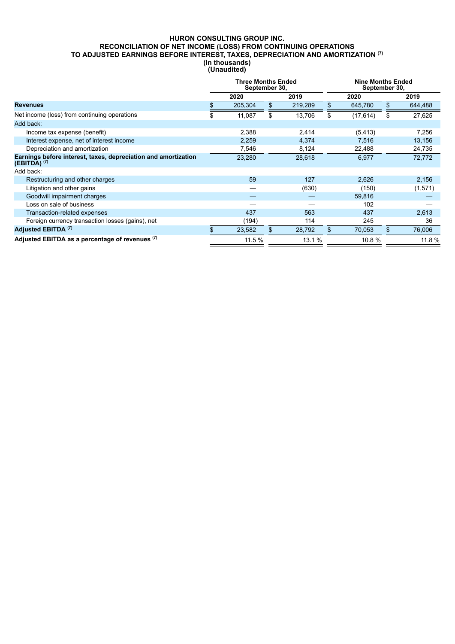#### **HURON CONSULTING GROUP INC. RECONCILIATION OF NET INCOME (LOSS) FROM CONTINUING OPERATIONS TO ADJUSTED EARNINGS BEFORE INTEREST, TAXES, DEPRECIATION AND AMORTIZATION (In thousands) (Unaudited) (7)**

|                                                                                   | <b>Three Months Ended</b><br>September 30, |     |         | <b>Nine Months Ended</b><br>September 30, |           |     |         |
|-----------------------------------------------------------------------------------|--------------------------------------------|-----|---------|-------------------------------------------|-----------|-----|---------|
|                                                                                   | 2020                                       |     | 2019    |                                           | 2020      |     | 2019    |
| <b>Revenues</b>                                                                   | 205,304                                    | \$. | 219,289 |                                           | 645,780   | \$. | 644,488 |
| Net income (loss) from continuing operations                                      | 11,087                                     |     | 13,706  |                                           | (17, 614) | \$  | 27,625  |
| Add back:                                                                         |                                            |     |         |                                           |           |     |         |
| Income tax expense (benefit)                                                      | 2,388                                      |     | 2,414   |                                           | (5, 413)  |     | 7,256   |
| Interest expense, net of interest income                                          | 2,259                                      |     | 4,374   |                                           | 7,516     |     | 13,156  |
| Depreciation and amortization                                                     | 7,546                                      |     | 8,124   |                                           | 22,488    |     | 24,735  |
| Earnings before interest, taxes, depreciation and amortization<br>$(BITDA)^{(7)}$ | 23,280                                     |     | 28,618  |                                           | 6,977     |     | 72,772  |
| Add back:                                                                         |                                            |     |         |                                           |           |     |         |
| Restructuring and other charges                                                   | 59                                         |     | 127     |                                           | 2,626     |     | 2,156   |
| Litigation and other gains                                                        |                                            |     | (630)   |                                           | (150)     |     | (1,571) |
| Goodwill impairment charges                                                       |                                            |     |         |                                           | 59,816    |     |         |
| Loss on sale of business                                                          |                                            |     |         |                                           | 102       |     |         |
| Transaction-related expenses                                                      | 437                                        |     | 563     |                                           | 437       |     | 2,613   |
| Foreign currency transaction losses (gains), net                                  | (194)                                      |     | 114     |                                           | 245       |     | 36      |
| Adjusted EBITDA <sup>(7)</sup>                                                    | 23,582                                     |     | 28,792  |                                           | 70,053    | \$  | 76,006  |
| Adjusted EBITDA as a percentage of revenues (7)                                   | 11.5 %                                     |     | 13.1 %  |                                           | 10.8 %    |     | 11.8 %  |